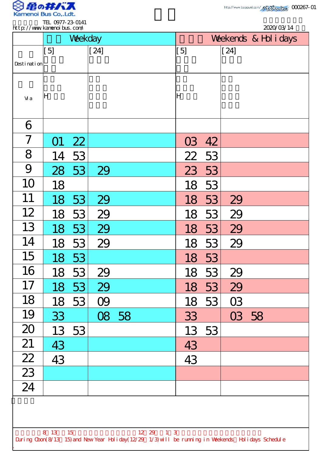

.

| 2020/03/14<br>http://www.kanenoi.bus.com/                                                                                     |     |         |        |       |     |                       |           |  |  |  |  |  |
|-------------------------------------------------------------------------------------------------------------------------------|-----|---------|--------|-------|-----|-----------------------|-----------|--|--|--|--|--|
|                                                                                                                               |     | Weekday |        |       |     | Weekends & Hol i days |           |  |  |  |  |  |
|                                                                                                                               | [5] |         | $[24]$ |       | [5] |                       | $[24]$    |  |  |  |  |  |
| Desti nati on                                                                                                                 |     |         |        |       |     |                       |           |  |  |  |  |  |
|                                                                                                                               |     |         |        |       |     |                       |           |  |  |  |  |  |
| Vi a                                                                                                                          | ΙH  |         |        |       | ļΗ  |                       |           |  |  |  |  |  |
|                                                                                                                               |     |         |        |       |     |                       |           |  |  |  |  |  |
| 6                                                                                                                             |     |         |        |       |     |                       |           |  |  |  |  |  |
| 7                                                                                                                             |     | 22      |        |       | 03  | 42                    |           |  |  |  |  |  |
| 8                                                                                                                             | 14  | 53      |        |       | 22  | 53                    |           |  |  |  |  |  |
| 9                                                                                                                             | 28  | 53      | 29     |       | 23  | 53                    |           |  |  |  |  |  |
| 10                                                                                                                            | 18  |         |        |       | 18  | 53                    |           |  |  |  |  |  |
| 11                                                                                                                            | 18  | 53      | 29     |       | 18  | 53                    | 29        |  |  |  |  |  |
| 12                                                                                                                            | 18  | 53      | 29     |       | 18  | 53                    | 29        |  |  |  |  |  |
| 13                                                                                                                            | 18  | 53      | 29     |       | 18  | 53                    | 29        |  |  |  |  |  |
| 14                                                                                                                            | 18  | 53      | 29     |       | 18  | 53                    | 29        |  |  |  |  |  |
| 15                                                                                                                            | 18  | 53      |        |       | 18  | 53                    |           |  |  |  |  |  |
| 16                                                                                                                            | 18  | 53      | 29     |       | 18  | 53                    | 29        |  |  |  |  |  |
| 17                                                                                                                            | 18  | 53      | 29     |       | 18  | 53                    | 29        |  |  |  |  |  |
| 18                                                                                                                            | 18  | 53      | OQ     |       | 18  | 53                    | <b>O3</b> |  |  |  |  |  |
| 19                                                                                                                            | 33  |         |        | 08 58 | 33  |                       | 03 58     |  |  |  |  |  |
| 20                                                                                                                            | 13  | 53      |        |       | 13  | 53                    |           |  |  |  |  |  |
| 21                                                                                                                            | 43  |         |        |       | 43  |                       |           |  |  |  |  |  |
| $\frac{22}{23}$                                                                                                               | 43  |         |        |       | 43  |                       |           |  |  |  |  |  |
|                                                                                                                               |     |         |        |       |     |                       |           |  |  |  |  |  |
| $\overline{24}$                                                                                                               |     |         |        |       |     |                       |           |  |  |  |  |  |
|                                                                                                                               |     |         |        |       |     |                       |           |  |  |  |  |  |
|                                                                                                                               |     |         |        |       |     |                       |           |  |  |  |  |  |
| 8 13<br>15<br>12 29 1 3<br>During Coon(8/13 15) and New Year Holiday(12/29 1/3) will be running in Weekends Holidays Schedule |     |         |        |       |     |                       |           |  |  |  |  |  |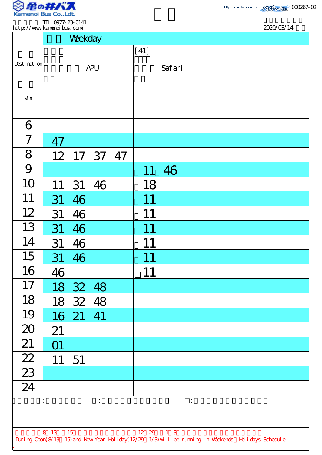

TEL 0977-23-0141 http://www.kamenoibus.com/

| http://www.kanenoi.bus.com/ |                         |          |                |    |                | 2020/03/14                                                                                         |
|-----------------------------|-------------------------|----------|----------------|----|----------------|----------------------------------------------------------------------------------------------------|
|                             |                         | Weekday  |                |    |                |                                                                                                    |
|                             |                         |          |                |    | $[41]$         |                                                                                                    |
| Desti nati on               | <b>APU</b>              |          |                |    |                | Safari                                                                                             |
|                             |                         |          |                |    |                |                                                                                                    |
| Vi a                        |                         |          |                |    |                |                                                                                                    |
|                             |                         |          |                |    |                |                                                                                                    |
| 6                           |                         |          |                |    |                |                                                                                                    |
| $\overline{7}$              | 47                      |          |                |    |                |                                                                                                    |
| 8                           |                         | 12 17 37 |                | 47 |                |                                                                                                    |
| 9                           |                         |          |                |    |                | 46                                                                                                 |
| 10                          | 11                      | 31       | 46             |    | 18             |                                                                                                    |
| 11                          | 31                      | 46       |                |    | 11             |                                                                                                    |
| 12                          | 31                      | 46       |                |    | 11             |                                                                                                    |
| 13                          | 31                      | 46       |                |    | 11             |                                                                                                    |
| 14                          | 31                      | 46       |                |    | 11             |                                                                                                    |
| 15                          | 31                      | 46       |                |    | 11             |                                                                                                    |
| 16                          | 46                      |          |                |    | 11             |                                                                                                    |
| 17                          | 18                      | 32 48    |                |    |                |                                                                                                    |
| 18                          |                         | 18 32 48 |                |    |                |                                                                                                    |
| 19                          |                         | 16 21 41 |                |    |                |                                                                                                    |
| 20                          | 21                      |          |                |    |                |                                                                                                    |
| 21                          | $\overline{\mathrm{O}}$ |          |                |    |                |                                                                                                    |
| $\frac{22}{2}$              | 11                      | 51       |                |    |                |                                                                                                    |
| $\overline{23}$             |                         |          |                |    |                |                                                                                                    |
| $\overline{24}$             |                         |          |                |    |                |                                                                                                    |
| $\ddot{\cdot}$              |                         |          | $\ddot{\cdot}$ |    |                | $\ddot{\phantom{a}}$                                                                               |
|                             |                         |          |                |    |                |                                                                                                    |
|                             | 8 13 15                 |          |                |    | $12 \t29 \t13$ |                                                                                                    |
|                             |                         |          |                |    |                | During Cbon(8/13 15) and New Year Holiday(12/29 1/3) will be running in Weekends Holidays Schedule |